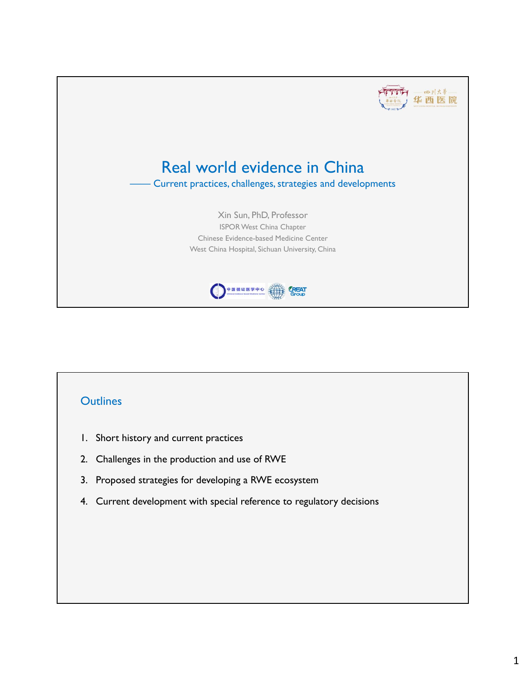

## **Outlines**

- 1. Short history and current practices
- 2. Challenges in the production and use of RWE
- 3. Proposed strategies for developing a RWE ecosystem
- 4. Current development with special reference to regulatory decisions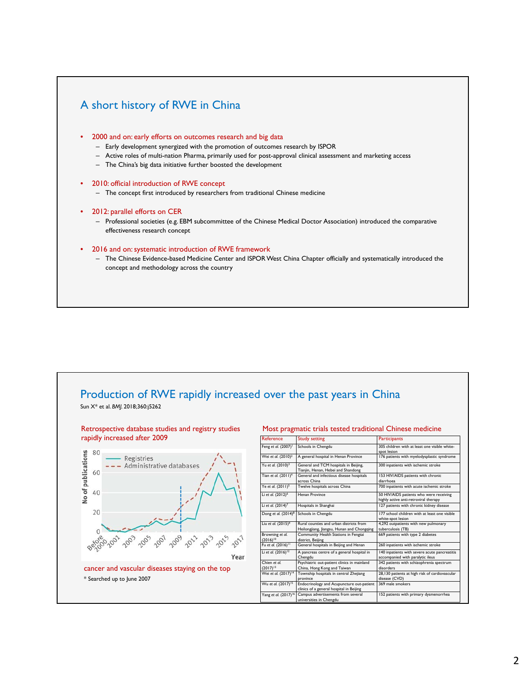# A short history of RWE in China 2000 and on: early efforts on outcomes research and big data – Early development synergized with the promotion of outcomes research by ISPOR – Active roles of multi-nation Pharma, primarily used for post-approval clinical assessment and marketing access – The China's big data initiative further boosted the development • 2010: official introduction of RWE concept – The concept first introduced by researchers from traditional Chinese medicine 2012: parallel efforts on CER – Professional societies (e.g. EBM subcommittee of the Chinese Medical Doctor Association) introduced the comparative effectiveness research concept • 2016 and on: systematic introduction of RWE framework – The Chinese Evidence-based Medicine Center and ISPOR West China Chapter officially and systematically introduced the concept and methodology across the country



#### 2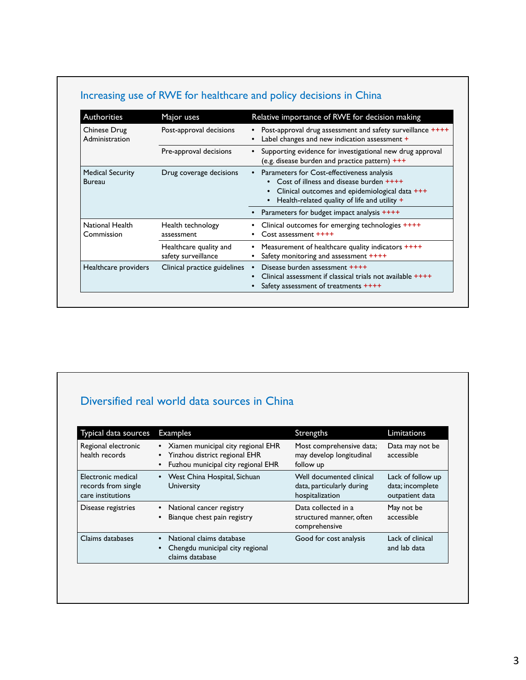| <b>Authorities</b>                       | Major uses                                    | Relative importance of RWE for decision making                                                                                                                                                |
|------------------------------------------|-----------------------------------------------|-----------------------------------------------------------------------------------------------------------------------------------------------------------------------------------------------|
| Chinese Drug<br>Administration           | Post-approval decisions                       | Post-approval drug assessment and safety surveillance ++++<br>Label changes and new indication assessment +                                                                                   |
|                                          | Pre-approval decisions                        | Supporting evidence for investigational new drug approval<br>$\bullet$<br>(e.g. disease burden and practice pattern) +++                                                                      |
| <b>Medical Security</b><br><b>Bureau</b> | Drug coverage decisions                       | • Parameters for Cost-effectiveness analysis<br>• Cost of illness and disease burden $++++$<br>Clinical outcomes and epidemiological data +++<br>Health-related quality of life and utility + |
|                                          |                                               | Parameters for budget impact analysis ++++                                                                                                                                                    |
| National Health<br>Commission            | Health technology<br>assessment               | Clinical outcomes for emerging technologies ++++<br>Cost assessment ++++                                                                                                                      |
|                                          | Healthcare quality and<br>safety surveillance | Measurement of healthcare quality indicators ++++<br>Safety monitoring and assessment ++++                                                                                                    |
| Healthcare providers                     | Clinical practice guidelines                  | Disease burden assessment ++++<br>Clinical assessment if classical trials not available $++++$<br>Safety assessment of treatments ++++                                                        |

# Increasing use of RWE for healthcare and policy decisions in China

# Diversified real world data sources in China

| Typical data sources                                           | <b>Examples</b>                                                                                           | Strengths                                                                | Limitations                                              |
|----------------------------------------------------------------|-----------------------------------------------------------------------------------------------------------|--------------------------------------------------------------------------|----------------------------------------------------------|
| Regional electronic<br>health records                          | Xiamen municipal city regional EHR<br>Yinzhou district regional EHR<br>Fuzhou municipal city regional EHR | Most comprehensive data;<br>may develop longitudinal<br>follow up        | Data may not be<br>accessible                            |
| Electronic medical<br>records from single<br>care institutions | • West China Hospital, Sichuan<br>University                                                              | Well documented clinical<br>data, particularly during<br>hospitalization | Lack of follow up<br>data; incomplete<br>outpatient data |
| Disease registries                                             | National cancer registry<br>Bianque chest pain registry                                                   | Data collected in a<br>structured manner, often<br>comprehensive         | May not be<br>accessible                                 |
| Claims databases                                               | National claims database<br>Chengdu municipal city regional<br>claims database                            | Good for cost analysis                                                   | Lack of clinical<br>and lab data                         |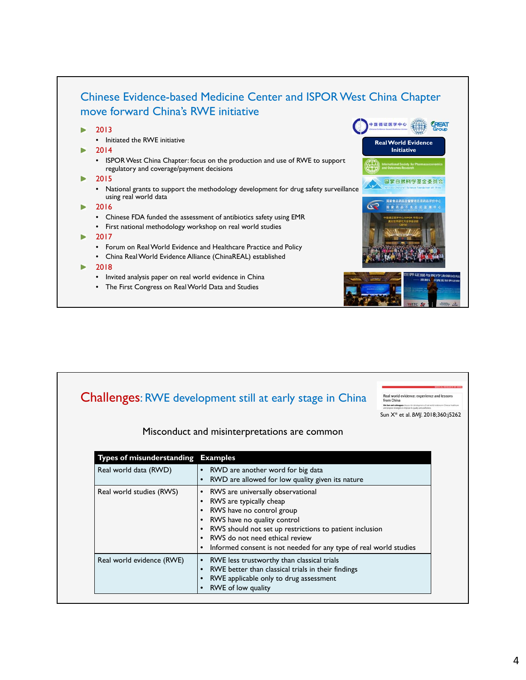

|                                    | <b>Challenges: RWE development still at early stage in China</b>     | Real world evidence: experience and lessons<br>from China<br>a and cultures do no the development of our world evidence in Outera healthcan |
|------------------------------------|----------------------------------------------------------------------|---------------------------------------------------------------------------------------------------------------------------------------------|
|                                    |                                                                      |                                                                                                                                             |
|                                    | Misconduct and misinterpretations are common                         |                                                                                                                                             |
|                                    |                                                                      |                                                                                                                                             |
| Types of misunderstanding Examples |                                                                      |                                                                                                                                             |
| Real world data (RWD)              | RWD are another word for big data                                    |                                                                                                                                             |
|                                    | RWD are allowed for low quality given its nature                     |                                                                                                                                             |
| Real world studies (RWS)           | • RWS are universally observational                                  |                                                                                                                                             |
|                                    | RWS are typically cheap                                              |                                                                                                                                             |
|                                    | RWS have no control group<br>RWS have no quality control<br>٠        |                                                                                                                                             |
|                                    | RWS should not set up restrictions to patient inclusion<br>$\bullet$ |                                                                                                                                             |
|                                    | RWS do not need ethical review                                       |                                                                                                                                             |
|                                    | Informed consent is not needed for any type of real world studies    |                                                                                                                                             |
| Real world evidence (RWE)          | RWE less trustworthy than classical trials                           |                                                                                                                                             |
|                                    | RWE better than classical trials in their findings                   |                                                                                                                                             |
|                                    | RWE applicable only to drug assessment                               |                                                                                                                                             |
|                                    | RWE of low quality                                                   |                                                                                                                                             |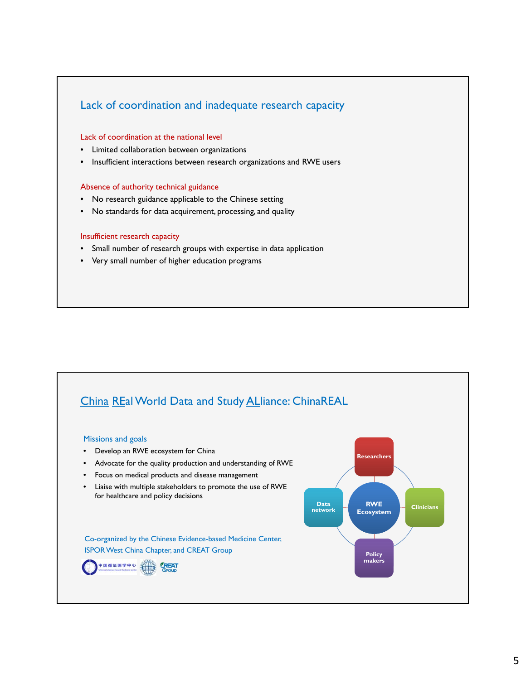## Lack of coordination and inadequate research capacity

#### Lack of coordination at the national level

- Limited collaboration between organizations
- Insufficient interactions between research organizations and RWE users

#### Absence of authority technical guidance

- No research guidance applicable to the Chinese setting
- No standards for data acquirement, processing, and quality

#### Insufficient research capacity

- Small number of research groups with expertise in data application
- Very small number of higher education programs

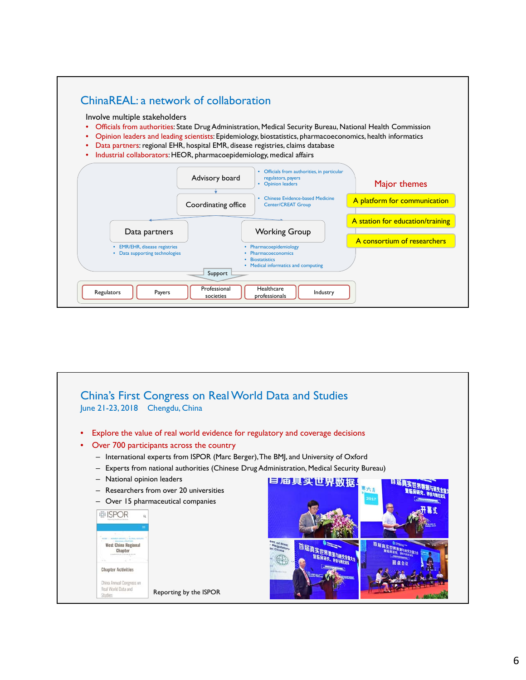## ChinaREAL: a network of collaboration

Involve multiple stakeholders

- Officials from authorities: State Drug Administration, Medical Security Bureau, National Health Commission
- Opinion leaders and leading scientists: Epidemiology, biostatistics, pharmacoeconomics, health informatics
- Data partners: regional EHR, hospital EMR, disease registries, claims database
- Industrial collaborators: HEOR, pharmacoepidemiology, medical affairs



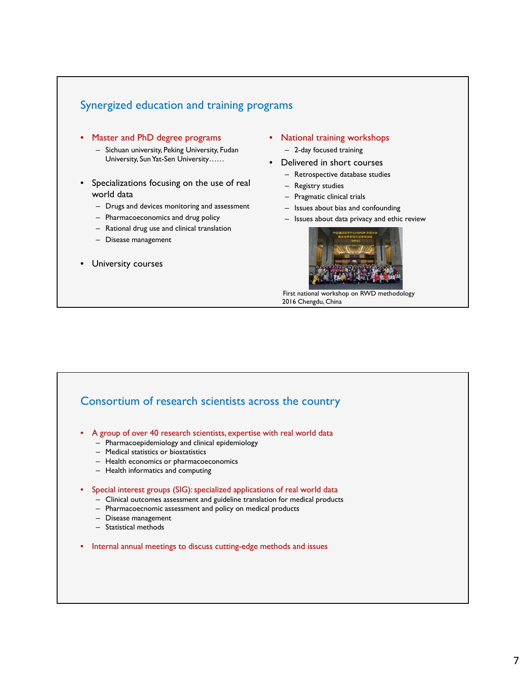### Synergized education and training programs

- Master and PhD degree programs
	- Sichuan university, Peking University, Fudan University, Sun Yat-Sen University……
- Specializations focusing on the use of real world data
	- Drugs and devices monitoring and assessment
	- Pharmacoeconomics and drug policy
	- Rational drug use and clinical translation
	- Disease management
- University courses
- National training workshops
	- 2-day focused training
- Delivered in short courses
	- Retrospective database studies
	- Registry studies
	- Pragmatic clinical trials
	- Issues about bias and confounding
	- Issues about data privacy and ethic review



First national workshop on RWD methodology 2016 Chengdu, China

#### Consortium of research scientists across the country

- A group of over 40 research scientists, expertise with real world data
	- Pharmacoepidemiology and clinical epidemiology
	- Medical statistics or biostatistics
	- Health economics or pharmacoeconomics
	- Health informatics and computing

#### • Special interest groups (SIG): specialized applications of real world data

- Clinical outcomes assessment and guideline translation for medical products
- Pharmacoecnomic assessment and policy on medical products
- Disease management
- Statistical methods
- Internal annual meetings to discuss cutting-edge methods and issues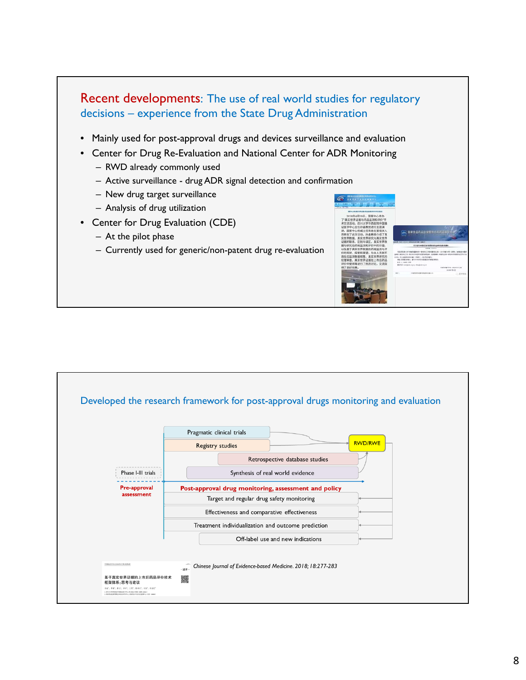

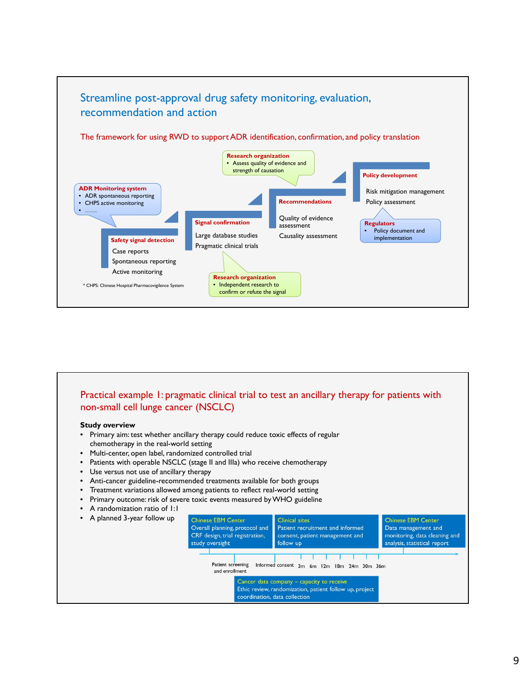

# Practical example 1: pragmatic clinical trial to test an ancillary therapy for patients with non-small cell lunge cancer (NSCLC)

#### **Study overview**

- Primary aim: test whether ancillary therapy could reduce toxic effects of regular chemotherapy in the real-world setting
- Multi-center, open label, randomized controlled trial
- Patients with operable NSCLC (stage II and IIIa) who receive chemotherapy
- Use versus not use of ancillary therapy
- Anti-cancer guideline-recommended treatments available for both groups
- Treatment variations allowed among patients to reflect real-world setting
- Primary outcome: risk of severe toxic events measured by WHO guideline
- A randomization ratio of 1:1

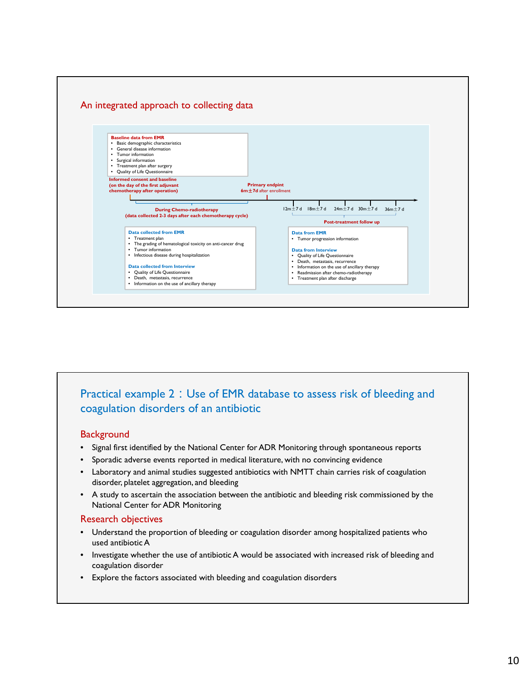

## Practical example 2: Use of EMR database to assess risk of bleeding and coagulation disorders of an antibiotic

#### **Background**

- Signal first identified by the National Center for ADR Monitoring through spontaneous reports
- Sporadic adverse events reported in medical literature, with no convincing evidence
- Laboratory and animal studies suggested antibiotics with NMTT chain carries risk of coagulation disorder, platelet aggregation, and bleeding
- A study to ascertain the association between the antibiotic and bleeding risk commissioned by the National Center for ADR Monitoring

#### Research objectives

- Understand the proportion of bleeding or coagulation disorder among hospitalized patients who used antibiotic A
- Investigate whether the use of antibiotic A would be associated with increased risk of bleeding and coagulation disorder
- Explore the factors associated with bleeding and coagulation disorders